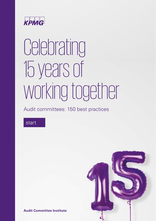

# **Celebrating** 15 years of working together

Audit committees: 150 best practices

[start](#page-1-0)



**Audit Committee Institute**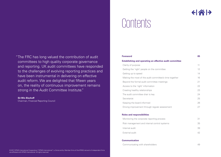### 이슈ト

# **Contents**

<span id="page-1-0"></span>

| "The FRC has long valued the contribution of audit    |
|-------------------------------------------------------|
| committees to high quality corporate governance       |
| and reporting. UK audit committees have responded     |
| to the challenges of evolving reporting practices and |
| have been instrumental in delivering on effective     |
| audit reform. We are delighted that fifteen years     |
| on, the reality of continuous improvement remains     |
| strong in the Audit Committee Institute."             |
|                                                       |

### **Sir Win Bischoff**

Chairman, Financial Reporting Council

© 2017 KPMG International Cooperative ("KPMG International"), a Swiss entity. Member firms of the KPMG network of independent firms are affiliated with KPMG International. All rights reserved

| <b>Foreword</b>                                                | 05 |  |  |  |
|----------------------------------------------------------------|----|--|--|--|
| <b>Establishing and operating an effective audit committee</b> |    |  |  |  |
| Clarity of purpose                                             | 11 |  |  |  |
| Getting the 'right' people on the committee                    | 12 |  |  |  |
| Getting up to speed                                            | 14 |  |  |  |
| Making the most of the audit committee's time together         | 16 |  |  |  |
| Beyond the formal audit committee meetings                     | 21 |  |  |  |
| Access to the 'right' information                              | 22 |  |  |  |
| Creating healthy relationships                                 | 23 |  |  |  |
| The audit committee chair is key                               | 24 |  |  |  |
| Secretariat                                                    | 25 |  |  |  |
| Keeping the board informed                                     | 26 |  |  |  |
| Driving improvement through regular assessment                 | 27 |  |  |  |
| <b>Roles and responsibilities</b>                              |    |  |  |  |
| Monitoring the corporate reporting process                     | 31 |  |  |  |
| Risk management and internal control systems                   | 35 |  |  |  |
| Internal audit                                                 | 39 |  |  |  |
| External audit                                                 | 42 |  |  |  |

### **Communication**

| Communicating with shareholders |  |
|---------------------------------|--|
|---------------------------------|--|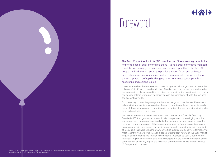

### $\xi$

# **Foreword**

The Audit Committee Institute (ACI) was founded fifteen years ago – with the help of ten senior audit committee chairs – to help audit committee members meet the increasing governance demands placed upon them. The first UK body of its kind, the ACI set out to provide an open forum and dedicated information resource for audit committee members with a view to helping them keep abreast of rapidly changing regulatory matters, company law, accounting and auditing issues.

It was a time when the business world was facing many challenges. We had seen the collapse of significant groups both in the US and closer to home; and, not unlike today, the expectations placed on audit committees by regulators, the investment community and society at large were growing rapidly as was the complexity of both the business and accounting world.

From relatively modest beginnings, the Institute has grown over the last fifteen years in line with the expectations placed on the audit committee role and the acute need of many of those sitting on audit committees to be better informed on matters that enable them to be effective in their roles.

We have witnessed the widespread adoption of International Financial Reporting Standards (IFRS) – rigorous and internationally comparable, but also highly technical and sometimes counter-intuitive standards that presented a steep learning curve for many who spent a large part of their career under a very different accounting regime. In many companies we've seen the audit committee role expand to include oversight of many risks that were unheard of when the first audit committees were formed. And most recently, we have lived through a period of significant reform of the audit market. Regular audit tendering and rotation have become 'business as usual', but the new regulatory regime continues to throw up challenges that are difficult to navigate and in some cases significantly impact the way audit committees of Public Interest Entities (PIEs) operate in practice.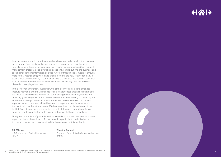### $\left\vert \left\langle \mathbf{a}\right\vert \right\vert$

In our experience, audit committee members have responded well to the changing environment. Best practices that were once the exception are now the rule. Formal induction training, consent agendas, private sessions with auditors (without management present), deep dive training sessions, getting out into the business and seeking independent information sources (whether through social media or through more formal mechanisms) were once uncommon, but are now routine for many of today's audit committees. If, in some small way, the Institute has been of assistance to audit committee members as they have made this journey then we are very pleased to have played our part.

In this fifteenth anniversary publication, we embrace the camaraderie amongst Institute members and the willingness to share experiences that has characterised the Institute since day one. We are not summarising new rules or regulations, nor providing guidance *per se* on the body of excellent material already produced by the Financial Reporting Council and others. Rather we present some of the practical experiences and comments shared by the most important people we work with the Institute's members themselves. 150 best practices - ten for each year of the Institute's existence - spread across the breadth of the audit committee role. We hope you find this publication entertaining, but above all, thought provoking.

Finally, we owe a debt of gratitude to all those audit committee members who have supported the Institute since its formation and, in particular those individuals too many to name - who have provided the insights used in this publication.

### **Bill Michael**

6

### **Timothy Copnell**

UK Chairman and Senior Partner elect KPMG

Chairman of the UK Audit Committee Institute KPMG

© 2017 KPMG International Cooperative ("KPMG International"), a Swiss entity. Member firms of the KPMG network of independent firms are affiliated with KPMG International. All rights reserved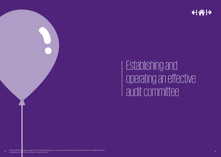

Establishing and operating an effective audit committee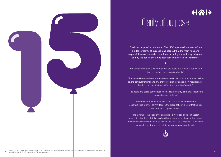

# Clarity of purpose

←|| 수| →

'Clarity of purpose' is paramount. The UK Corporate Governance Code alludes to 'clarity of purpose' and sets out that the main roles and responsibilities of the audit committee, including the authority delegated to it by the board, should be set out in written terms of reference.

 $\bullet$   $\bullet$   $\bullet$ 

"The audit committee is a committee of the board and it should not usurp or take on the board's role and authority."

"The board should review the audit committee's mandate on an annual basis – paying particular attention to any change of circumstances, new regulations or leading practices that may affect the committee's remit."

"The board and board committees need absolute clarity as to their respective roles and responsibilities."

"The audit committee mandate should be co-ordinated with the responsibilities of other committees in the organisation whether that be risk, remuneration or governance."

"Be mindful of increasing the committee's workload and don't accept responsibilities that rightfully reside with the board as a whole or that cannot be reasonably achieved. Learn to say 'no'. You can't do everything – and if you try, you'll probably end up not doing anything particularly well."

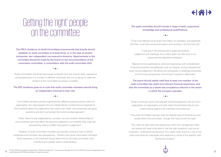

## Getting the 'right' people on the committee

The FRC's Guidance on Audit Committees recommends that boards should establish an audit committee of at least three, or in the case of smaller companies, two independent non-executive directors. Appointments to the committee should be made by the board on the recommendation of the nomination committee, in consultation with the audit committee chair.

### $\bullet$   $\bullet$   $\bullet$

"Audit committees should be big enough to benefit from the diverse skills, experience and perspectives of a number of different individuals, but not so big as to make the conduct of the committee's business unwieldly."

### The FRC Guidance goes on to note that audit committee members should bring an independent mind-set to their role.

### $\bullet$   $\bullet$   $\bullet$

"Committee members should understand the different pressure points within an organisation. You need people who are independently minded and are prepared to think carefully about the judgements that need to be made, who proactively ask good questions and don't just accept the recommended approach."

"When determining independence, consider not only whether relationships or circumstances exist that affect the person's judgement, but whether they might be perceived by others to affect that person's judgement."

"Rotation of audit committee members can provide a practical way to refresh processes and introduce new perspectives. Rotation also gives more board members direct exposure to the important issues dealt with by the audit committee, thus contributing to greater board understanding."

The audit committee should include a range of skills, experience, knowledge and professional qualifications.

 $\overline{a}$ 

"To be truly effective as an audit committee, its members, and especially the chair, must have sound enthusiasm and curiosity in and for their job."

"Listening is the prerequisite to balanced analysis, judgement and challenge, but is often given too little time in our pressured and regulated schedules."

"Balance formal qualifications, skills and experience with consideration of personal qualities and attributes such as integrity; strong interpersonal skills; sound judgement; the ability and willingness to challenge and probe; and the time and personal commitment to perform effectively."

The board should satisfy itself that at least one member of the audit committee has recent and relevant financial experience, and that the committee as a whole has competence relevant to the sector in which the company operates.

### . . .

"What constitutes recent and relevant financial experience will vary from organisation to organisation and each board should determine its own criteria having regard to its individual circumstances."

"The audit committee member with the highest level of financial acumen usually chairs the committee - though this need not be the case."

"You need the right skills and experience within the management team, but boards still need to be able to 'ask the right questions' and just as important, 'understand the answers'. This might mean there is a role on the audit committee for individuals with expertise in some of the specific risks facing the company."

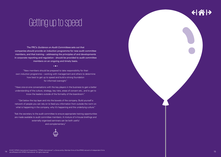## Getting up to speed

The FRC's Guidance on Audit Committees sets out that companies should provide an induction programme for new audit committee members, and that training – addressing the principles of and developments in corporate reporting and regulation - should be provided to audit committee members on an ongoing and timely basis.

### $\bullet$   $\bullet$   $\bullet$

"New members should be prepared to take responsibility for their own induction programme – working with management and others to determine how best to get up to speed and build a strong foundation for informed oversight."

"Have one-on-one conversations with the key players in the business to gain a better understanding of the culture, strategy, key risks, areas of concern etc., and to get to know the leaders outside of the formality of the boardroom."

"Get below the top layer and into the bowels of the company. Build yourself a network of people you can rely on to feed you information from outside the norm on what is happening in the company, why it's happening and the underlying culture."

"Ask the secretary to the audit committee to ensure appropriate training opportunities are made available to audit committee members. A mixture of in-house briefings and externally organised seminars can be both useful and complementary."



 $\left\langle \left\vert \phi\right\vert \right\rangle$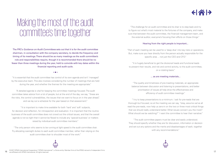### $\left\langle \left\vert \left\langle \right\vert \right\rangle \right\rangle$

## Making the most of the audit committee's time together

The FRC's Guidance on Audit Committees sets out that it is for the audit committee chairman, in consultation with the company secretary, to decide the frequency and timing of its meetings. There should be as many meetings as the audit committee's role and responsibilities require, though it is recommended there should be no fewer than three meetings during the year, held to coincide with key dates within the financial reporting and audit cycle.

### $\bullet$   $\bullet$   $\bullet$

"It is essential that the audit committee has control of its own agenda and isn't 'managed' by the executive team. This also involves considering the number of meetings that are held during the year, and whether the themes for the meeting are appropriate."

"A detailed agenda is vital for keeping the committee meetings focused. The audit committee takes advice from a lot of people, but at the end of the day, we say, "these are the risks, the control vulnerabilities, the issues that we want to focus on in the year ahead", and we lay out a schedule for the year based on that assessment."

"It is important to make time available for both 'hard' and 'soft' subjects, for decision and reflection, for introspection and evaluation. It is important that the routine business of the audit committee does not crowd out the critical issues, and that the overall agenda is not so tight that it cannot be flexed to include any 'special business' or matters raised by individual audit committee members."

"The only person who seems to be running at light speed is the audit committee chair. Try allocating oversight duties to each audit committee member, rather than relying on the audit committee chair to shoulder most of the work."

"The challenge for an audit committee and its chair is to step back and try to figure out what's most material to the fortunes of the company, and make sure that between the audit committee, the financial management team, and the external auditor, everyone's focusing their efforts on those things."

### Hearing from the right people is important...

"Part of each meeting can be used for a 'deep dive' into key risks or operations. But, make sure you hear directly from the person actually responsible for the specific area ... not just the CEO and CFO."

"It is hugely beneficial to get the divisional heads and functional leads to present their results, and risk and control activity, to the audit committee, on a rotating basis."

### ... as are meeting materials...

"The quality and timeliness of pre-meeting materials, an appropriate balance between discussion and listening to presentations, and better prioritisation of issues all help drive the effectiveness and efficiency of audit committee meetings."

"I try to keep presentations to a minimum. I ask for pre-reads that are thorough but focused, so at the meeting we can say, "okay, assume we've all read the pre-reads, now help us zero-in on the two or three most critical things that we should really understand better. What issues concern you the most? What should we be watching?" I want the committee to hear their narrative."

"The audit committee papers must be clear and easily understood. They should specify whether they are for discussion, information or decision and set out any options and the merits and disadvantages of each, together with any recommendations."

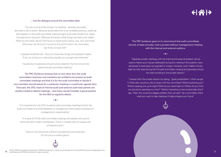### $\left\langle \cdot | \triangle \right|$

### ... and the dialogue around the committee table.

"You can only do three things in a meeting – educate, persuade, and have a call to action. Because actual face-time is so incredibly precious, anything that happens in the audit committee meeting ought to be well thought-out, highly focused and to the point. What are the three critical things we have to do today? What are the action items? And focus on those action items, one, two, and three. Otherwise, by the time it comes to the call for action, the committee has three minutes left!"

"I operate the 80-20 rule – focus on those few things with greatest impact. If you try to focus on everything equally, you just get overwhelmed."

"Questions of substance should not be raised for the first time at the year-end audit committee meeting."

The FRC Guidance stresses that no one other than the audit committee's chairman and members are entitled to be present at audit committee meetings and that it is for the audit committee to decide if non-members should attend for a particular meeting or a particular agenda item. That said, the CFO, head of internal audit and external audit lead partner are usually invited to attend meetings – and many would consider it good practice for the CEO to regularly attend.

"It is important for the CEO to attend audit committee meetings and for the audit committee to provide feedback to management and to place emphasis on management's responsibility."

"It is easy to fill the audit committee meeting with people who just sit there and don't make a contribution. This is a mistake and not a good use of anyone's time."

"Quorum should ensure sufficient perspectives and expertise – it's not just a numbers game."



© 2017 KPMG International Cooperative ("KPMG International"), a Swiss entity. Member firms of the KPMG network of independent firms are affiliated with KPMG International. All rights reserved **the served** conductional productional conductional conductional conductional conductions of mass permeable and permeable and the production and the conductional

The FRC Guidance goes on to recommend that audit committees should, at least annually, hold a private (without management) meeting with the internal and external auditors.

 $\sim$   $\sim$   $\sim$ 

"Separate private meetings with the internal and external auditors can be used to follow-up on issues addressed during the meeting if the auditors were perceived to have been too guarded or uneasy. However, such matters should really be fully aired during the full audit committee meeting and generally should not need revisiting in the private session."

"I always start the private session by saying, "great presentation, I think we got it. What else would you like to share with the committee? What's bothering you? What's keeping you up at night? What do you need help on? Where do you think we should be spending our time?" What's interesting is that occasionally they'll say, "Well, this could be a bigger problem than we said." As a committee, that's what you want to hear, because it helps sharpen your focus."

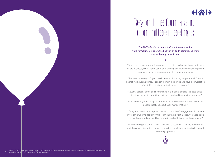

## Beyond the formal audit committee meetings

The FRC's Guidance on Audit Committees notes that while formal meetings are the heart of an audit committee's work, they will rarely be sufficient.

"Site visits are a useful way for an audit committee to develop its understanding of the business, whilst at the same time building constructive relationships and reinforcing the board's commitment to strong governance."

"Between meetings, it's good to sit down with the key people in their 'natural habitat,' without an agenda. Just visit them in their office and have a conversation about things that are on their radar ... or yours!"

"Seventy percent of the audit committee role is spent outside the head office – not just for the audit committee chair, but for all audit committee members."

"Don't allow anyone to script your time out in the business. Ask unconventional people questions about audit-related matters."

"Today, the breadth and depth of the audit committee's engagement has made oversight a full-time activity. While technically not a full-time job, you need to be constantly engaged and readily available to deal with issues as they come up."

"Understanding the context of big decisions is essential. Knowing the business and the capabilities of the people responsible is vital for effective challenge and informed judgement."

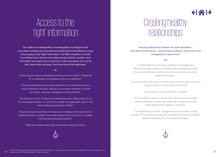## Access to the 'right' information

No matter how independent, knowledgeable and diligent audit committee members are, the audit committee will not be effective unless it has access to the 'right' information. The FRC's Guidance on Audit Committees notes that the committee should actively consider what information and assurance it requires in order to properly carry out its role, where there are gaps, how these should be addressed.

### $\bullet$   $\bullet$   $\bullet$

"Never assume others understand something you can't fathom. Always ask for an explanation and persevere until you understand."

"There will always be an information deficit but it is critical that there is a strong relationship and open lines of communication between the audit committee, executive management and the auditors."

"Get exposure to both third-party and dissenting views. Being aware of, but not necessarily beholden to, views from outside the organisation, goes to the heart of being a good board member."

"Ensure that audit committee members take in sufficient information from all available sources – analysts, the media and even the rumour mill – to enable informed and probing discussions."

"Audit committees need to get much better at asking for help."



## Creating healthy relationships

 $\left\langle \left\vert \left\langle \right\vert \right\rangle \right\rangle$ 

A strong relationship between the audit committee – both chair and members – and the board, auditors, risk function and management is paramount.

 $\bullet$   $\bullet$ 

"Understand the line between oversight and management. Effective oversight is difficult to achieve where management views the audit committee as nothing more than a necessary corporate governance burden."

"It is imperative for the audit committee chair to have a clear one-on-one channel to both the board chair and the CEO."

"Trust is good. Trust with verification is better!"

"It is vital that the audit committee chair, CFO and external auditor interact effectively and play their respective complementary and clearly-defined roles together in harmony."

"The relationship with both management and the auditors should be such that any serious concerns are brought to the audit committee's attention promptly, but in a non-adversarial way."

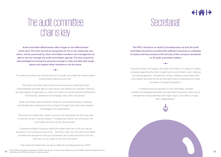### $\left\langle \left\vert \left\langle \right\vert \right\rangle \right\rangle$

## The audit committee chair is key

Audit committee effectiveness often hinges on the effectiveness of the chair. The chair should be recognised for his or her leadership and vision, and be perceived by other committee members and management as able to set and manage the audit committee's agenda. The chair should be acknowledged as having the personal courage to raise and deal with tough issues and support other members to do the same.

"An audit committee chair should serve on the audit committee for at least twelve months before taking up the role."

"The audit committee chair should ensure everyone understands their responsibilities and feels able to raise issues they believe are important. Without the right degree of openness, an audit committee can quickly become blinkered to the financial, operational and strategic risks within a business."

"Audit committee chairs should be 'hands on' and active between meetings; and develop their awareness of the company through those that have a deeper knowledge of the organisation."

"The audit committee chair needs to ensure that everybody has their say, even if they are not the 'financial experts'. Provided each person can contribute, the committee will arrive at the right answers."

"A special privilege of being an audit committee chairman is that you can go anywhere in the company at any time ... and then make sure the other committee members are exposed to what you've learned. You're paid a bit extra to be the chairman, so you ought to do a bit more work."

"The audit committee chair can be an effective sounding board for a CFO."

## Secretariat

The FRC's Guidance on Audit Committees sets out that the audit committee should be provided with sufficient resources to undertake its duties and have access to the services of the company secretariat on all audit committee matters.

"A good secretary will support the audit committee on a range of matters, including supporting the chair in planning the committee's work, drawing up meeting agendas, maintaining minutes, drafting material about the committee's activities for the annual report and co-ordinating the timely circulation of supporting papers."

"In determining the secretary to the committee, consider whether the proposed secretary has significant financial or other senior management responsibilities that might impair, or be seen to impair, their independence."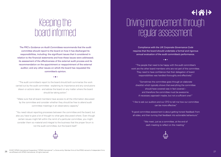## Keeping the board informed

The FRC's Guidance on Audit Committees recommends that the audit committee should report to the board on how it has discharged its responsibilities, including: the significant issues that it considered in relation to the financial statements and how these issues were addressed; its assessment of the effectiveness of the external audit process and its recommendation on the appointment or reappointment of the external auditor; and any other issues on which the board has requested the committee's opinion.

### $\bullet$   $\bullet$   $\bullet$

"The audit committee's report to the board should both summarise the work carried out by the audit committee - explaining its importance and any conclusions drawn or actions taken - and advise the board on any matter where the board should be taking action."

"Make sure that all board members have access to all the information discussed by the committee and consider whether they should be free to attend audit committee meetings in an observatory capacity."

"You need robust reporting processes between the committee and the board, but also you have to give a lot of thought to what gets discussed where. Even though certain issues might fall within the remit of a particular committee, you might consider them so material and integral to the business that the proper forum is not the audit committee, but the board itself."

### ←|谷|→ Driving improvement through regular assessment

Compliance with the UK Corporate Governance Code requires that the board should undertake a formal and rigorous annual evaluation of the audit committee's performance.

 $\bullet$   $\bullet$ 

"The people that need to be happy with the audit committee's work are the other board members who are not part of the committee. They need to have confidence that their delegation of board responsibilities was handled thoroughly and effectively."

"Sometimes the committee goes through an elaborate checklist which typically shows that everything the committee should have covered was in fact covered – and therefore the committee must be awesome. A necessary approach maybe, but not a sufficient one!"

"I like to ask our auditors and our CFO to tell me how our committee can be more effective."

"A good committee assessment is about getting honest feedback from all sides, and then turning that feedback into actionable behaviours."

> "We meet, just as a committee, at the end of each meeting to reflect on the meeting."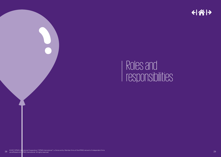

# Roles and responsibilities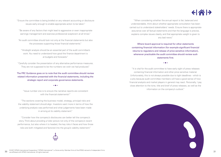### $\left| \triangle \right|$

"Ensure the committee is being briefed on any relevant accounting or disclosure issues early enough to enable appropriate action to be taken."

"Be aware of any factors that might lead to aggressive or even inappropriate earnings management and exercise professional scepticism at all times."

"An audit committee should look not only at the financial statements but also the processes supporting those financial statements."

"Hindsight analysis should be an essential part of the audit committee's work. You need to understand how good the finance department is at budgets and forecasts."

"Carefully consider the presentation of any alternative performance measures. They are not supposed to be the numbers we wish we had produced."

The FRC Guidance goes on to note that the audit committee should review related information presented with the financial statements, including the strategic report and corporate governance statements.

"Issue number one is to ensure the narrative reports are consistent with the financial statements!"

"The sections covering the business model, strategy, principal risks and the viability statement should align. Investors want more in terms of how the underlying analysis was performed and what judgements have been made in arriving at its viability statement."

"Consider how the company's disclosures can better tell the company's story. Think about providing a fuller picture not only of the company's recent performance, but also where it is headed, the key risks it faces and how those risks are both mitigated and factored into the group's viability statement."

"When considering whether the annual report is fair, balanced and understandable, think about whether appropriate consultation has been carried out to understand stakeholders' needs. Ensure there is appropriate assurance over all factual statements and that the language is precise, explains complex issues clearly, and that appropriate weight is given to any bad news."

Where board approval is required for other statements containing financial information (for example significant financial returns to regulators and release of price sensitive information). whenever practicable the audit committee should review such statements first.

 $\overline{a}$ 

"It is vital for the audit committee to have early sight of press releases containing financial information and other price sensitive material. Unfortunately, this is not always possible due to tight deadlines - which is a pity because audit committee members will have a good sense of how financial analysts and market players in general may react. Personally, I pay close attention to the tone, title and brief of press releases, as well as the information on the company's outlook."

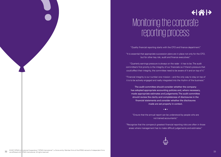### ←|| 수| → Monitoring the corporate reporting process

"Quality financial reporting starts with the CFO and finance department."

"It is essential that appropriate succession plans are in place not only for the CFO, but for other key risk, audit and finance executives."

"Quarterly earnings pressure is always on the radar - it has to be. The audit committee's first priority is the integrity of our financials so if there's pressure that could affect their integrity, the committee need to be aware of it and on top of it."

"Financial integrity is our number one mission – and the only way to stay on top of it is to be actively engaged and really integrated into the rhythm of the business."

The audit committee should consider whether the company has adopted appropriate accounting policies and, where necessary, made appropriate estimates and judgements. The audit committee should review the clarity and completeness of disclosures in the financial statements and consider whether the disclosures made are set properly in context.

 $• • •$ 

"Ensure that the annual report can be understood by people who are not trained accountants."

"Recognise that the company's greatest financial reporting risks are often in those areas where management has to make difficult judgements and estimates."

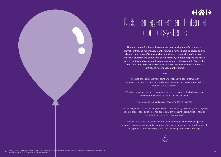### 6주년 Risk management and internal control systems

The precise role for the audit committee in reviewing the effectiveness of internal control and risk management systems is for the board to decide and will depend on a range of factors such as the size and composition of the board, the scale, diversity and complexity of the company's operations; and the nature of the significant risks facing the company. Whatever the committee's role, the board will need to reach its own conclusion on the effectiveness of internal control and risk management systems.

 $\bullet$   $\bullet$   $\bullet$ 

"The idea of risk management being undertaken by a specialist function that enters your world occasionally and then moves on to someone else's world is ineffective and outdated."

"Good risk management and governance can be compared to the brakes of a car. The better the brakes, the faster the car can drive."

"Boards need to guard against becoming too risk averse."

"Risk management processes are generally good at identifying, evaluating and mitigating risk, but proper consideration of risk appetite might highlight opportunities to take on more risk in some parts of the business."

"The audit committee must consider the "tone at the top" and how management responds to control failures and inappropriate behaviour. Encourage the development of an appropriate tone by having 'control' as a standing item at each meeting."

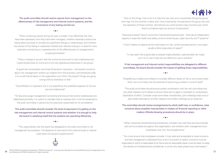### The audit committee should receive reports from management on the effectiveness of risk management and internal control systems; and the conclusions of any testing carried out.

"When reviewing reports during the year, consider: how effectively the risks have been assessed; how they have been managed; whether necessary actions are being taken promptly to remedy any significant failings or weaknesses; and whether the causes of the failing or weakness indicate poor decision-taking or a need for more extensive monitoring or a reassessment of the effectiveness of management's on-going processes."

"There is always a concern that the control environment is well understood and implemented close to home but is not fully operational elsewhere in the group."

"A good risk conversation has three dimensions: top-down – the board's concerns about risk management; bottom-up insights from the business; and enterprise-wide. It is crucial that all layers in the organisation can inform the board if things are going wrong without hesitation or fear."

"Quantification is important, but in my experience the qualitative aspects of risk are just as fundamental."

"To help encourage management ownership and ensure that control weaknesses are addressed promptly, it is useful to mandate that an overdue item must be explained to the audit committee in person by the executive responsible for its remediation."

The audit committee should consider the level of assurance it is getting on the risk management and internal control systems and whether it is enough to help the board in satisfying itself that the systems are operating effectively.

"The responsibility that the board has delegated to the audit committee is not management by exception. The absence of comments from external audit or internal audit does not equate to good control."



"I find it helpful to capture all the information on risk, control and assurance in one place usually a fairly large piece of paper!" "It may seem like a good idea to prepare highly-detailed, sophisticated risk maps, but it is no use if they are too difficult to use in practice."

### If risk management and internal control responsibilities are delegated to different committees, the board should consider the impact of splitting those responsibilities.

"One of the things I like to do is to take the key risks and uncertainties facing the group and map it to the controls in place and, most importantly, the assurance the group has over the operation of those controls. Sometimes you come across major controls over which there is a frighteningly low amount of assurance."

"Assurance doesn't have to come from internal and external audit – think about independent experts in areas like health and safety, environmental issues, cyber security and IT systems."

### $\bullet$   $\bullet$

"Establishing multiple committees to consider different facets of risk is not a silver bullet. Each new committee has the potential of becoming a problem in and of itself."

"The audit committee should ensure proper coordination with the risk committee and any other relevant committees to ensure there are no gaps in oversight or unnecessary duplication of effort. Consider cross-committee membership, joint meetings (say) once a year and/or attendance of other relevant committee meetings as an observer."

The committee should review arrangements by which staff may, in confidence, raise concerns about possible improprieties in matters of financial reporting or other matters. Whistle-blowing procedures should be in place.

"When reviewing whistle-blowing procedures, consider how well they are documented and communicated throughout the organisation; and whether both management and employees 'buy into' the arrangements."

"You must ensure that employees consider it truly safe and acceptable to raise concerns and that management understand how to act if a concern is raised. Concerns must be responded to within a reasonable time frame and all reasonable steps must be taken to keep the identity of whistle-blowers confidential, or at the very least prevent any victimisation."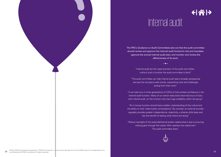# Internal audit

← 合け

The FRC's Guidance on Audit Committees sets out that the audit committee should review and approve the internal audit function's role and mandate; approve the annual internal audit plan; and monitor and review the effectiveness of its work.

 $\bullet$   $\bullet$ 

"Internal audit are the 'eyes and ears' of the audit committee... without such a function the audit committee is blind."

"The audit committee can help internal audit take a broader perspective and see the company-wide trends, overarching risks and challenges arising from their work."

"It can take two or three generations of CEOs to fully embed confidence in the internal audit function. Many of our senior executives have had tours of duty with internal audit, so the function now has huge credibility within the group."

"An in-house function should have a better understanding of the culture and the ability to hold 'water-cooler conversations'. By contrast, an external provider arguably provides greater independence, objectivity, a diverse skills base and has the benefit of seeing what others are doing."

"Robust oversight of the external/internal auditor relationship is key to ensuring nothing gets through the cracks. Who watches the watchmen? The audit committee does."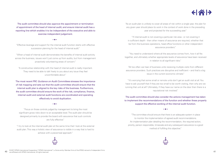### $\left\{ \left\vert \left\langle \mathbf{A}\right\vert \mathbf{\rightarrow }\right\vert \right\}$

The audit committee should also approve the appointment or termination of appointment of the head of internal audit; and ensure internal audit has a reporting line which enables it to be independent of the executive and able to exercise independent judgement.

### $\bullet$   $\bullet$   $\bullet$

"Effective leverage and support for the internal audit function starts with effective succession planning for the head of internal audit."

"When a head of internal audit demonstrates the benefits of internal audit activity across the business, issues won't just come up from audits, but from management proactively volunteering areas of concern."

"A constructive relationship with the head of internal audit is really important. They need to be able to talk freely to you about any issue they feel uncomfortable about."

The most recent FRC Guidance on Audit Committees stresses the importance of risk mapping and sets out that the audit committee should ensure that the internal audit plan is aligned to the key risks of the business. Furthermore, the audit committee should ensure the work of the risk, compliance, finance, internal audit and external audit functions are coordinated and operating effectively to avoid duplication.

### $\bullet$   $\bullet$   $\bullet$

"Focus on those controls judged by management to bring the most significant gross risks down to an acceptable level. The audit plan should be designed primarily to provide the board with assurance that such controls are fully effective."

"I try to look at the internal audit plan at the same time that I look at the external audit plan. This way a holistic view of assurance is visible in a way that is hard to achieve with a piecemeal approach."



"As an audit plan is unlikely to cover all areas of risk within a single year, the plan for any given year should place its work in the context of work done in the preceding year and projected for the succeeding year."

"If internal audit is not covering a particular risk area - or not covering it in sufficient depth - then other means of assurance are required, whether that be from the business operations, head office functions or other independent assurance providers."

"You need to understand where all the assurance comes from, how it all fits together, and ultimately whether appropriate levels of assurance have been received in relation to all significant risks."

"All too often we hear of business units receiving multiple visits from different assurance providers. Such practices are disruptive and inefficient – and that's a big issue in the current economic climate."

"It's worrying that some small or remote units don't get an audit visit at all. You have to ask yourself that if they are too small to be worth visiting, then why are we running that unit at all? Ultimately, if they have our name on the door then there is a reputational risk involved."

The audit committee should also consider the actions management has taken to implement the recommendations of the function and whether these properly support the effective working of the internal audit function.

"The committee should ensure that there is an adequate system in place to monitor the implementation of agreed audit recommendations. An implementation plan detailing the recommendation, the required action, priority, person responsible, timescale and any subsequent assurance is a good method of fulfilling this objective."

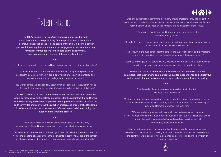### $\left\langle \left\vert \phi\right\vert \right\rangle$

## External audit

The FRC's Guidance on Audit Committees emphasises the audit committee's primary responsibility for the appointment of the auditor. This includes negotiating the fee and scope of the audit, initiating a tender process, influencing the appointment of an engagement partner and making formal recommendations to the board on the appointment, reappointment and removal of the external auditors.

### $\bullet$   $\bullet$   $\bullet$

"Look for an auditor with nose and backbone. A good auditor is constructive, but critical."

"I think external auditors that exercise independent thought and professional scepticism, combined with an in-depth knowledge of accounting standards and regulations, are the best safeguard a company can have."

"You want auditors that talk candidly about difficult or sensitive issues. It may not be comfortable for the executive team but it's essential to have this kind of dialogue."

The FRC's *Guidance on Audit Committees* makes it clear that the audit committee should be responsible for the selection procedure for the appointment of audit firms. When considering the selection of possible new appointees as external auditors, the audit committee should oversee the selection process, and ensure that all tendering firms have such access as is necessary to information and individuals during the duration of the tendering process.

 $\bullet$   $\bullet$   $\bullet$ 

"Due to the importance investors and regulators place on a high quality external audit, the audit tender must take priority over all other non-audit activity."

"I fundamentally believe that it is healthy to get a fresh pair of eyes from time to time, but we need to look for a balance between the incumbent's in-depth knowledge of the company and the new ideas, audit approach and perspectives a new audit team would provide."

"Changing auditors is not something a company should undertake lightly. No matter how great the audit firm is, it is easy for the audit to lose a step in the transition year as the new team is getting up to speed on the company and its critical accounting issues."

> "It's amazing how different audit firms are when you go through a detailed tendering process."

"In order to have a wider choice of audit firms and audit partners, it may be beneficial to tender the audit before the last possible date."

"The conduct of the audit tender sets the tone for the audit relationship, so it is important that the audit committee can demonstrate ownership of the tender process."

"Technical challenges or 'try before you buy' provide the committee with an opportunity to assess the firm's responsiveness, technical capability and even their culture."

The UK Corporate Governance Code stresses the importance of the audit committee's role in reviewing and monitoring auditor independence and objectivity; and in developing and implementing an appropriate non-audit services policy.

 $\bullet$   $\bullet$   $\bullet$ 

"Let the auditor know that you are serious about their objectivity. We need it and we want it!"

"A strong auditor independence policy is very important. It should address what non-audit services the auditor can and can't perform, but also other matters such as the hiring of current and former members of the audit firm."

"Different audit committees will have their own preferences as to whether or not to engage the external auditor for non-audit services, but in all cases they should have a clear policy as to permissible and prohibited services as well as monetary approval thresholds."

"Auditor independence is fundamental, but I am particularly worried by auditors who remain overly focused on selling additional non-audit services. We have come to the point that we're considering implementing a policy prohibiting the provision of all non-audit services."

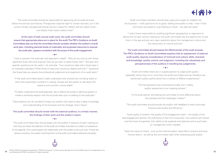### $\left\langle \left\vert \left\langle \right\vert \right\rangle \right\rangle$

"The audit committee should be responsible for approving all non-audit services before the service commences. Pre-approval might be right for certain services, but in the current climate, pre-approval should only be in place for matters that are clearly trivial – and clearly trivial means clearly trivial!"

At the start of each annual audit cycle, the audit committee should ensure that appropriate plans are in place for the audit. The FRC's Guidance on Audit Committees sets out that the committee should consider whether the auditor's overall work plan, including planned levels of materiality and proposed resources to execute the audit plan, appears consistent with the scope of the audit engagement.

 $\bullet$   $\bullet$   $\bullet$ 

"I love to question the audit plan and approach in depth. "Why do you end up with these significant audit risks and scoping? How do you plan to tackle these risks?" But also very specific questions can be useful – for example, "how would you deal with a fraud case in an overseas subsidiary? What kinds of resources would you deploy and how?" Questions like these help you assess the professional judgement and scepticism of an audit team."

"If the audit committee doesn't really understand why controls are not being relied on then that's potentially a problem in waiting. Always ask the auditor to talk about the systems and controls in some depth."

"To better understand the audit approach, ask to attend the auditor's planning session or initiate a workshop session with the full audit team prior to settling on the audit plan."

"Data analytics can do wonderful things, but auditors still need to have a deep knowledge and understanding of the business and the strategic risks it faces."

### The audit committee should review with the external auditors, in a timely manner, the findings of their work and the auditor's report.

### $\bullet$   $\bullet$   $\bullet$

"The audit committee chair should speak with the auditor in advance of each meeting so that they can direct the attention of the audit committee members to matters of substance on the agenda. One would expect the relationship with the auditor to be such that, if there are serious concerns, the auditor will bring them to the audit committee's attention promptly."

"Audit committee members should have a genuine hunger for insights into the business — both good and not so good. Getting the auditor to help – even if their comments are based on a gut feeling or hunch – can add real value."

"I want those responsible for auditing significant geographies or segments to attend the full year results meeting so the audit committee has the opportunity to look them in the eye and ask very open questions about the management culture and the robustness of internal controls."

The audit committee should assess the effectiveness of the audit process. The FRC's Guidance on Audit Committees explains that an assessment of external audit quality requires consideration of mind-set and culture; skills, character and knowledge; quality control; and judgment, including the robustness and perceptiveness of the auditors in handling key judgements.

### $\overline{a}$

"Audit committee chairs are in a good position to judge audit quality – especially where they sit on more than one audit committee and can therefore can benchmark auditor performance from a variety of different experiences."

> "Formal evaluations are conducted annually, but in reality, auditor assessment is an ongoing process."

"Is the audit partner stimulating the committee to think differently about the business and the challenges it faces?"

"The audit committee should provide the auditor with feedback to help continually improve audit quality and efficiency."

"Audit quality is rooted in the quality of the engagement team – the quality of the lead engagement partner, the sufficiency of the firm's resources, how auditors are trained and their level of expertise, their ability to be sceptical and objective and to push back on management when needed."

"Seek the views of others - such as the internal auditor, head office functions and local finance teams – as well as the committee itself when evaluating audit quality."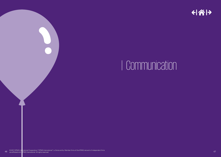

# Communication

© 2017 KPMG International Cooperative ("KPMG International"), a Swiss entity. Member firms of the KPMG network of independent firms and the second of the second of the KPMG network of independent firms and the second of th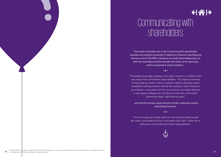### ←| 슈 | → Communicating with shareholders

The audit committee has a role in ensuring that shareholder interests are properly protected in relation to financial reporting and internal control. The FRC's Guidance on Audit Committees sets out that the committee should consider the clarity of its reporting and be prepared to meet investors...

 $\bullet$   $\bullet$   $\bullet$ 

"Proactively encourage a dialogue with major investors on matters within the scope of the committee's responsibilities. This might be achieved through seeking investor views on specific matters, attending regular scheduled meetings whether that be the meeting in which executive remuneration is discussed with the remuneration committee chairman or the regular briefings with the CEO and Chairman of the board. 'Governance days' might also be useful."

...and that the annual report should include a separate section describing the work.

 $\bullet$   $\bullet$   $\bullet$ 

"Focus the audit committee report on what the committee actually did, what it concluded and why it concluded what it did – rather than a perfunctory list of audit committee responsibilities."